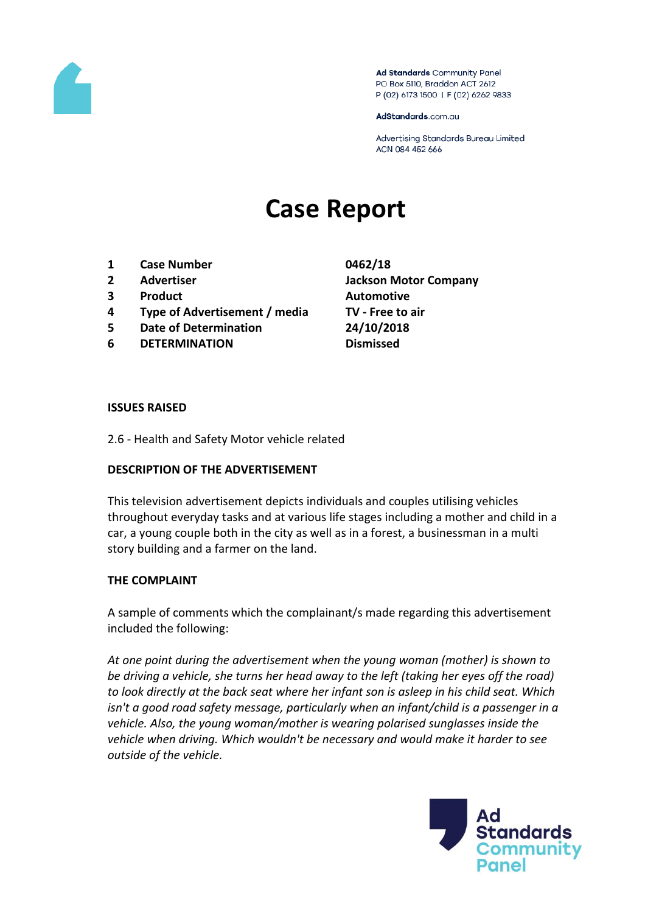

Ad Standards Community Panel PO Box 5110, Braddon ACT 2612 P (02) 6173 1500 | F (02) 6262 9833

AdStandards.com.au

Advertising Standards Bureau Limited ACN 084 452 666

# **Case Report**

- **1 Case Number 0462/18**
- 
- **3 Product Automotive**
- **4 Type of Advertisement / media TV - Free to air**
- **5 Date of Determination 24/10/2018**
- **6 DETERMINATION Dismissed**
- **2 Advertiser Jackson Motor Company**

#### **ISSUES RAISED**

2.6 - Health and Safety Motor vehicle related

#### **DESCRIPTION OF THE ADVERTISEMENT**

This television advertisement depicts individuals and couples utilising vehicles throughout everyday tasks and at various life stages including a mother and child in a car, a young couple both in the city as well as in a forest, a businessman in a multi story building and a farmer on the land.

#### **THE COMPLAINT**

A sample of comments which the complainant/s made regarding this advertisement included the following:

*At one point during the advertisement when the young woman (mother) is shown to be driving a vehicle, she turns her head away to the left (taking her eyes off the road) to look directly at the back seat where her infant son is asleep in his child seat. Which isn't a good road safety message, particularly when an infant/child is a passenger in a vehicle. Also, the young woman/mother is wearing polarised sunglasses inside the vehicle when driving. Which wouldn't be necessary and would make it harder to see outside of the vehicle.*

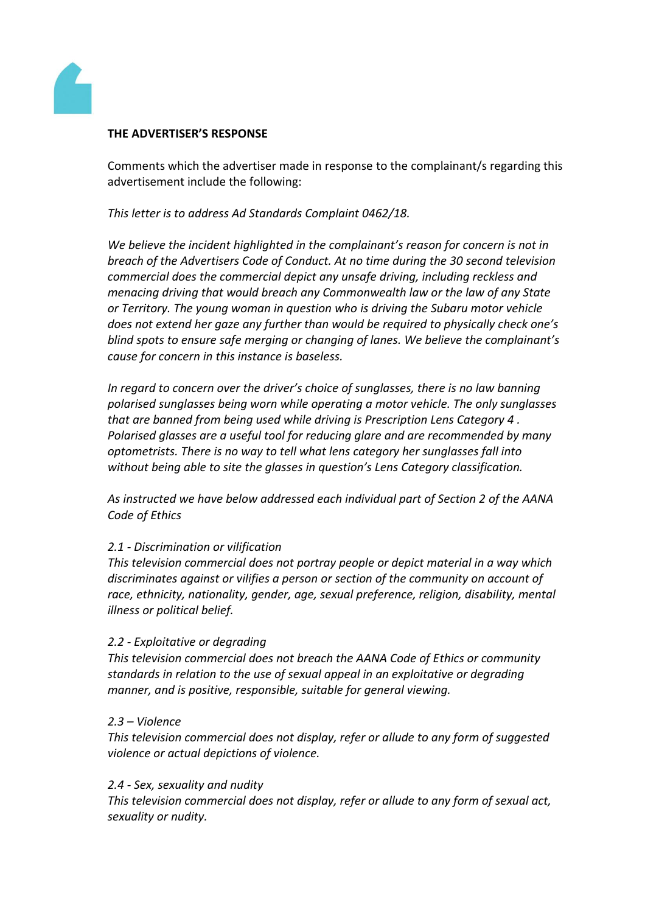

## **THE ADVERTISER'S RESPONSE**

Comments which the advertiser made in response to the complainant/s regarding this advertisement include the following:

*This letter is to address Ad Standards Complaint 0462/18.*

*We believe the incident highlighted in the complainant's reason for concern is not in breach of the Advertisers Code of Conduct. At no time during the 30 second television commercial does the commercial depict any unsafe driving, including reckless and menacing driving that would breach any Commonwealth law or the law of any State or Territory. The young woman in question who is driving the Subaru motor vehicle does not extend her gaze any further than would be required to physically check one's blind spots to ensure safe merging or changing of lanes. We believe the complainant's cause for concern in this instance is baseless.*

*In regard to concern over the driver's choice of sunglasses, there is no law banning polarised sunglasses being worn while operating a motor vehicle. The only sunglasses that are banned from being used while driving is Prescription Lens Category 4 . Polarised glasses are a useful tool for reducing glare and are recommended by many optometrists. There is no way to tell what lens category her sunglasses fall into without being able to site the glasses in question's Lens Category classification.*

*As instructed we have below addressed each individual part of Section 2 of the AANA Code of Ethics*

## *2.1 - Discrimination or vilification*

*This television commercial does not portray people or depict material in a way which discriminates against or vilifies a person or section of the community on account of race, ethnicity, nationality, gender, age, sexual preference, religion, disability, mental illness or political belief.*

## *2.2 - Exploitative or degrading*

*This television commercial does not breach the AANA Code of Ethics or community standards in relation to the use of sexual appeal in an exploitative or degrading manner, and is positive, responsible, suitable for general viewing.*

#### *2.3 – Violence*

*This television commercial does not display, refer or allude to any form of suggested violence or actual depictions of violence.*

#### *2.4 - Sex, sexuality and nudity*

*This television commercial does not display, refer or allude to any form of sexual act, sexuality or nudity.*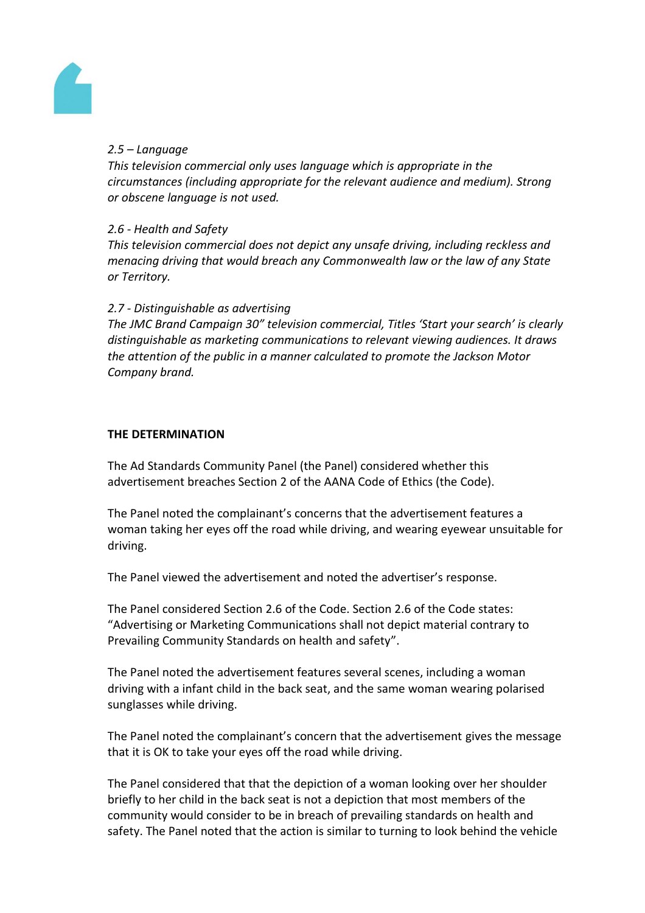

## *2.5 – Language*

*This television commercial only uses language which is appropriate in the circumstances (including appropriate for the relevant audience and medium). Strong or obscene language is not used.*

## *2.6 - Health and Safety*

*This television commercial does not depict any unsafe driving, including reckless and menacing driving that would breach any Commonwealth law or the law of any State or Territory.*

## *2.7 - Distinguishable as advertising*

*The JMC Brand Campaign 30" television commercial, Titles 'Start your search' is clearly distinguishable as marketing communications to relevant viewing audiences. It draws the attention of the public in a manner calculated to promote the Jackson Motor Company brand.*

## **THE DETERMINATION**

The Ad Standards Community Panel (the Panel) considered whether this advertisement breaches Section 2 of the AANA Code of Ethics (the Code).

The Panel noted the complainant's concerns that the advertisement features a woman taking her eyes off the road while driving, and wearing eyewear unsuitable for driving.

The Panel viewed the advertisement and noted the advertiser's response.

The Panel considered Section 2.6 of the Code. Section 2.6 of the Code states: "Advertising or Marketing Communications shall not depict material contrary to Prevailing Community Standards on health and safety".

The Panel noted the advertisement features several scenes, including a woman driving with a infant child in the back seat, and the same woman wearing polarised sunglasses while driving.

The Panel noted the complainant's concern that the advertisement gives the message that it is OK to take your eyes off the road while driving.

The Panel considered that that the depiction of a woman looking over her shoulder briefly to her child in the back seat is not a depiction that most members of the community would consider to be in breach of prevailing standards on health and safety. The Panel noted that the action is similar to turning to look behind the vehicle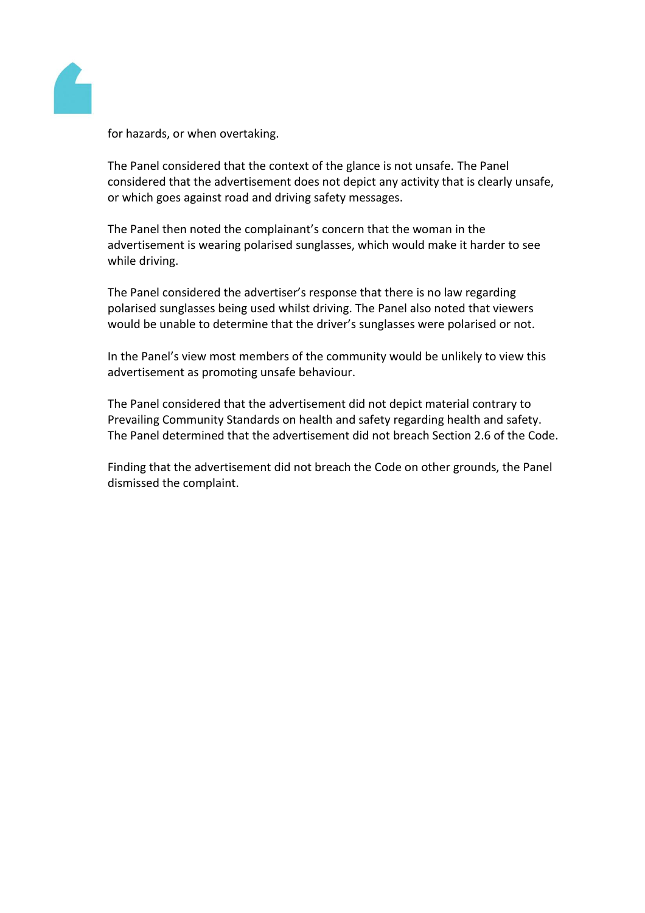

for hazards, or when overtaking.

The Panel considered that the context of the glance is not unsafe. The Panel considered that the advertisement does not depict any activity that is clearly unsafe, or which goes against road and driving safety messages.

The Panel then noted the complainant's concern that the woman in the advertisement is wearing polarised sunglasses, which would make it harder to see while driving.

The Panel considered the advertiser's response that there is no law regarding polarised sunglasses being used whilst driving. The Panel also noted that viewers would be unable to determine that the driver's sunglasses were polarised or not.

In the Panel's view most members of the community would be unlikely to view this advertisement as promoting unsafe behaviour.

The Panel considered that the advertisement did not depict material contrary to Prevailing Community Standards on health and safety regarding health and safety. The Panel determined that the advertisement did not breach Section 2.6 of the Code.

Finding that the advertisement did not breach the Code on other grounds, the Panel dismissed the complaint.